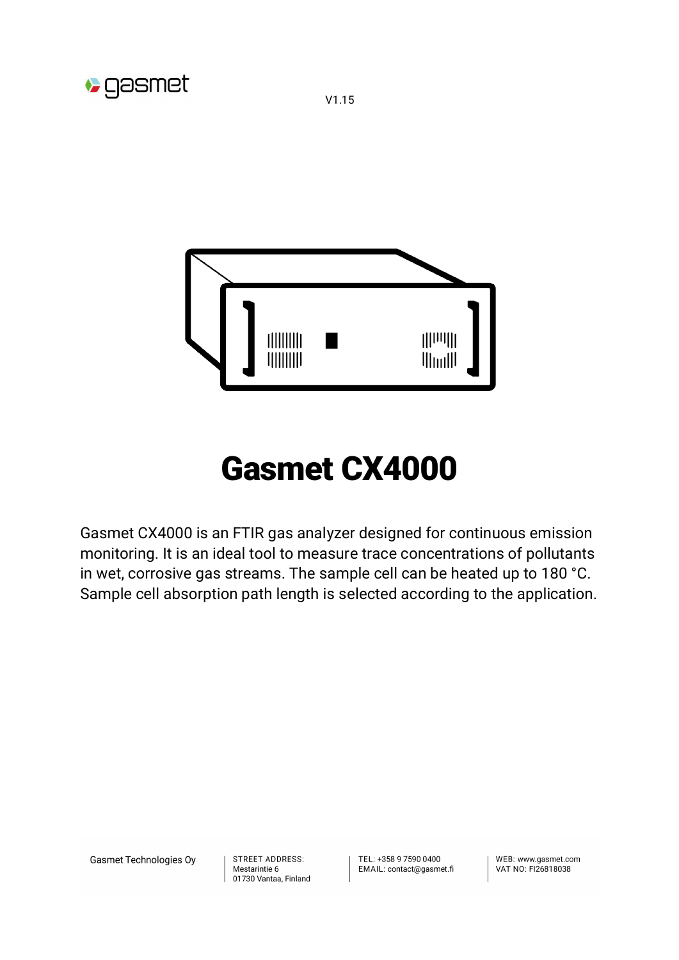

# Gasmet CX4000

Gasmet CX4000 is an FTIR gas analyzer designed for continuous emission monitoring. It is an ideal tool to measure trace concentrations of pollutants in wet, corrosive gas streams. The sample cell can be heated up to 180 °C. Sample cell absorption path length is selected according to the application.

Gasmet Technologies Oy

**D** gasmet

**STREET ADDRESS:** Mestarintie 6 01730 Vantaa, Finland TEL: +358 9 7590 0400 EMAIL: contact@gasmet.fi

WFB: www.gasmet.com VAT NO: FI26818038

V1.15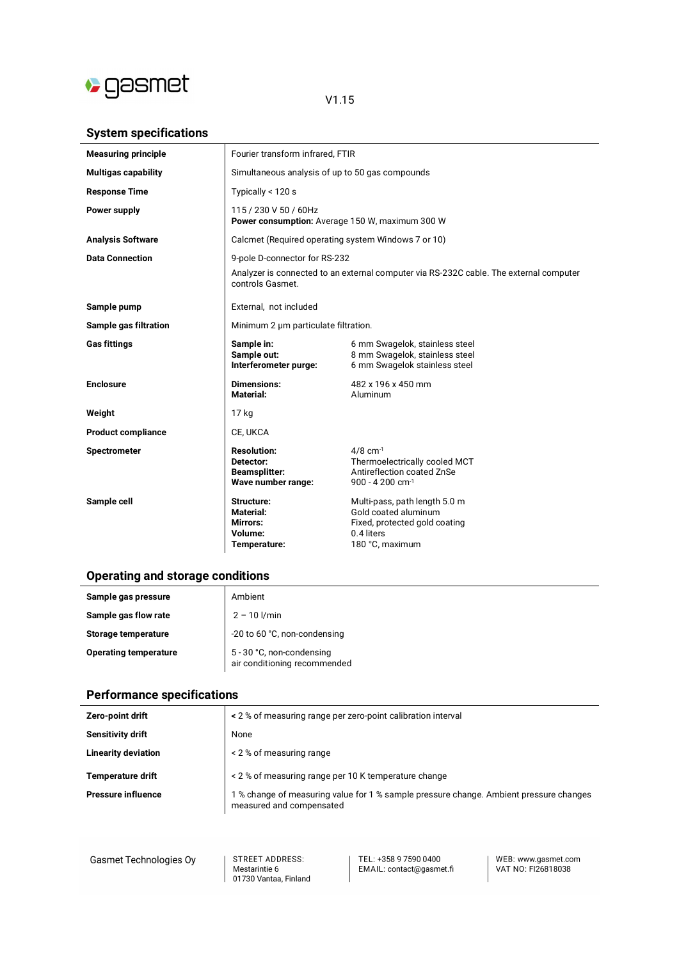

## V1.15

## **System specifications**

| <b>Measuring principle</b> | Fourier transform infrared, FTIR                                              |                                                                                                                         |
|----------------------------|-------------------------------------------------------------------------------|-------------------------------------------------------------------------------------------------------------------------|
| <b>Multigas capability</b> | Simultaneous analysis of up to 50 gas compounds                               |                                                                                                                         |
| <b>Response Time</b>       | Typically < 120 s                                                             |                                                                                                                         |
| Power supply               | 115 / 230 V 50 / 60Hz<br>Power consumption: Average 150 W, maximum 300 W      |                                                                                                                         |
| <b>Analysis Software</b>   | Calcmet (Required operating system Windows 7 or 10)                           |                                                                                                                         |
| <b>Data Connection</b>     | 9-pole D-connector for RS-232                                                 |                                                                                                                         |
|                            | controls Gasmet.                                                              | Analyzer is connected to an external computer via RS-232C cable. The external computer                                  |
| Sample pump                | External, not included                                                        |                                                                                                                         |
| Sample gas filtration      | Minimum 2 µm particulate filtration.                                          |                                                                                                                         |
| <b>Gas fittings</b>        | Sample in:<br>Sample out:<br>Interferometer purge:                            | 6 mm Swagelok, stainless steel<br>8 mm Swagelok, stainless steel<br>6 mm Swagelok stainless steel                       |
| <b>Enclosure</b>           | <b>Dimensions:</b><br><b>Material:</b>                                        | 482 x 196 x 450 mm<br>Aluminum                                                                                          |
| Weight                     | 17 kg                                                                         |                                                                                                                         |
| <b>Product compliance</b>  | CE, UKCA                                                                      |                                                                                                                         |
| <b>Spectrometer</b>        | <b>Resolution:</b><br>Detector:<br><b>Beamsplitter:</b><br>Wave number range: | $4/8$ cm $^{-1}$<br>Thermoelectrically cooled MCT<br>Antireflection coated ZnSe<br>900 - 4 200 cm-1                     |
| Sample cell                | Structure:<br>Material:<br>Mirrors:<br>Volume:<br>Temperature:                | Multi-pass, path length 5.0 m<br>Gold coated aluminum<br>Fixed, protected gold coating<br>0.4 liters<br>180 °C, maximum |

## **Operating and storage conditions**

| Sample gas pressure          | Ambient                                                   |
|------------------------------|-----------------------------------------------------------|
| Sample gas flow rate         | $2 - 10$ $1/min$                                          |
| Storage temperature          | -20 to 60 °C, non-condensing                              |
| <b>Operating temperature</b> | 5 - 30 °C, non-condensing<br>air conditioning recommended |

## **Performance specifications**

| Zero-point drift           | < 2 % of measuring range per zero-point calibration interval                                                       |
|----------------------------|--------------------------------------------------------------------------------------------------------------------|
| Sensitivity drift          | None                                                                                                               |
| <b>Linearity deviation</b> | < 2 % of measuring range                                                                                           |
| <b>Temperature drift</b>   | < 2 % of measuring range per 10 K temperature change                                                               |
| <b>Pressure influence</b>  | 1 % change of measuring value for 1 % sample pressure change. Ambient pressure changes<br>measured and compensated |

Gasmet Technologies Oy

**STREET ADDRESS:** STREET ADDRESS.<br>Mestarintie 6<br>01730 Vantaa, Finland TEL: +358 9 7590 0400<br>EMAIL: contact@gasmet.fi

WEB: www.gasmet.com<br>VAT NO: FI26818038